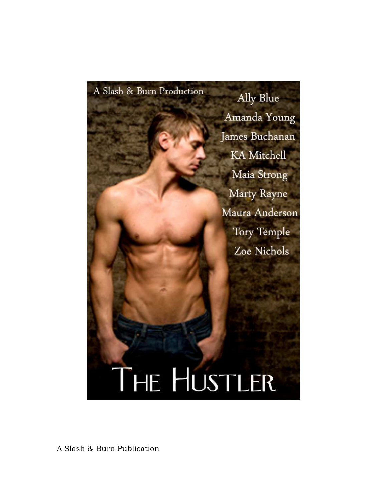

A Slash & Burn Publication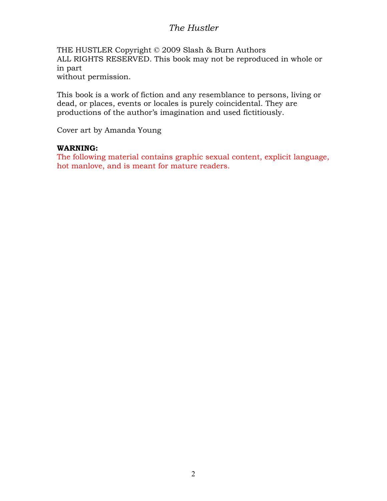THE HUSTLER Copyright © 2009 Slash & Burn Authors ALL RIGHTS RESERVED. This book may not be reproduced in whole or in part without permission.

This book is a work of fiction and any resemblance to persons, living or dead, or places, events or locales is purely coincidental. They are productions of the author's imagination and used fictitiously.

Cover art by Amanda Young

#### **WARNING:**

The following material contains graphic sexual content, explicit language, hot manlove, and is meant for mature readers.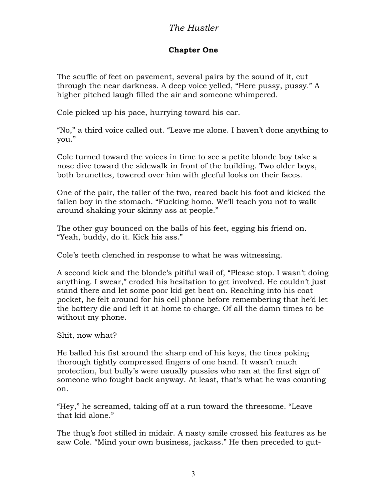## **Chapter One**

The scuffle of feet on pavement, several pairs by the sound of it, cut through the near darkness. A deep voice yelled, "Here pussy, pussy." A higher pitched laugh filled the air and someone whimpered.

Cole picked up his pace, hurrying toward his car.

"No," a third voice called out. "Leave me alone. I haven't done anything to you."

Cole turned toward the voices in time to see a petite blonde boy take a nose dive toward the sidewalk in front of the building. Two older boys, both brunettes, towered over him with gleeful looks on their faces.

One of the pair, the taller of the two, reared back his foot and kicked the fallen boy in the stomach. "Fucking homo. We'll teach you not to walk around shaking your skinny ass at people."

The other guy bounced on the balls of his feet, egging his friend on. "Yeah, buddy, do it. Kick his ass."

Cole's teeth clenched in response to what he was witnessing.

A second kick and the blonde's pitiful wail of, "Please stop. I wasn't doing anything. I swear," eroded his hesitation to get involved. He couldn't just stand there and let some poor kid get beat on. Reaching into his coat pocket, he felt around for his cell phone before remembering that he'd let the battery die and left it at home to charge. Of all the damn times to be without my phone.

Shit, now what?

He balled his fist around the sharp end of his keys, the tines poking thorough tightly compressed fingers of one hand. It wasn't much protection, but bully's were usually pussies who ran at the first sign of someone who fought back anyway. At least, that's what he was counting on.

"Hey," he screamed, taking off at a run toward the threesome. "Leave that kid alone."

The thug's foot stilled in midair. A nasty smile crossed his features as he saw Cole. "Mind your own business, jackass." He then preceded to gut-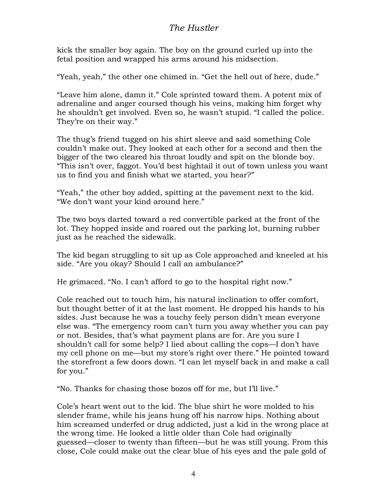kick the smaller boy again. The boy on the ground curled up into the fetal position and wrapped his arms around his midsection.

"Yeah, yeah," the other one chimed in. "Get the hell out of here, dude."

"Leave him alone, damn it." Cole sprinted toward them. A potent mix of adrenaline and anger coursed though his veins, making him forget why he shouldn't get involved. Even so, he wasn't stupid. "I called the police. They're on their way."

The thug's friend tugged on his shirt sleeve and said something Cole couldn't make out. They looked at each other for a second and then the bigger of the two cleared his throat loudly and spit on the blonde boy. "This isn't over, faggot. You'd best hightail it out of town unless you want us to find you and finish what we started, you hear?"

"Yeah," the other boy added, spitting at the pavement next to the kid. "We don't want your kind around here."

The two boys darted toward a red convertible parked at the front of the lot. They hopped inside and roared out the parking lot, burning rubber just as he reached the sidewalk.

The kid began struggling to sit up as Cole approached and kneeled at his side. "Are you okay? Should I call an ambulance?"

He grimaced. "No. I can't afford to go to the hospital right now."

Cole reached out to touch him, his natural inclination to offer comfort, but thought better of it at the last moment. He dropped his hands to his sides. Just because he was a touchy feely person didn't mean everyone else was. "The emergency room can't turn you away whether you can pay or not. Besides, that's what payment plans are for. Are you sure I shouldn't call for some help? I lied about calling the cops—I don't have my cell phone on me—but my store's right over there." He pointed toward the storefront a few doors down. "I can let myself back in and make a call for you."

"No. Thanks for chasing those bozos off for me, but I'll live."

Cole's heart went out to the kid. The blue shirt he wore molded to his slender frame, while his jeans hung off his narrow hips. Nothing about him screamed underfed or drug addicted, just a kid in the wrong place at the wrong time. He looked a little older than Cole had originally guessed—closer to twenty than fifteen—but he was still young. From this close, Cole could make out the clear blue of his eyes and the pale gold of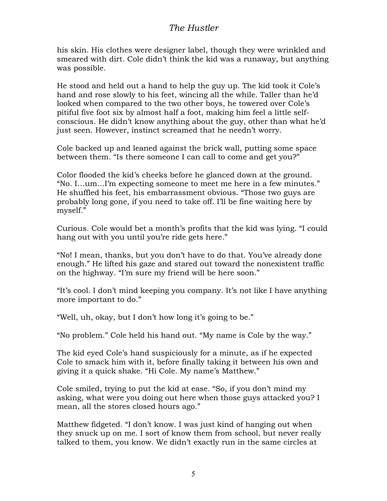his skin. His clothes were designer label, though they were wrinkled and smeared with dirt. Cole didn't think the kid was a runaway, but anything was possible.

He stood and held out a hand to help the guy up. The kid took it Cole's hand and rose slowly to his feet, wincing all the while. Taller than he'd looked when compared to the two other boys, he towered over Cole's pitiful five foot six by almost half a foot, making him feel a little selfconscious. He didn't know anything about the guy, other than what he'd just seen. However, instinct screamed that he needn't worry.

Cole backed up and leaned against the brick wall, putting some space between them. "Is there someone I can call to come and get you?"

Color flooded the kid's cheeks before he glanced down at the ground. "No. I…um…I'm expecting someone to meet me here in a few minutes." He shuffled his feet, his embarrassment obvious. "Those two guys are probably long gone, if you need to take off. I'll be fine waiting here by myself."

Curious. Cole would bet a month's profits that the kid was lying. "I could hang out with you until you're ride gets here."

"No! I mean, thanks, but you don't have to do that. You've already done enough." He lifted his gaze and stared out toward the nonexistent traffic on the highway. "I'm sure my friend will be here soon."

"It's cool. I don't mind keeping you company. It's not like I have anything more important to do."

"Well, uh, okay, but I don't how long it's going to be."

"No problem." Cole held his hand out. "My name is Cole by the way."

The kid eyed Cole's hand suspiciously for a minute, as if he expected Cole to smack him with it, before finally taking it between his own and giving it a quick shake. "Hi Cole. My name's Matthew."

Cole smiled, trying to put the kid at ease. "So, if you don't mind my asking, what were you doing out here when those guys attacked you? I mean, all the stores closed hours ago."

Matthew fidgeted. "I don't know. I was just kind of hanging out when they snuck up on me. I sort of know them from school, but never really talked to them, you know. We didn't exactly run in the same circles at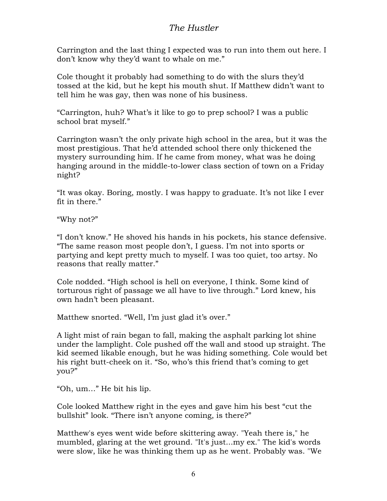Carrington and the last thing I expected was to run into them out here. I don't know why they'd want to whale on me."

Cole thought it probably had something to do with the slurs they'd tossed at the kid, but he kept his mouth shut. If Matthew didn't want to tell him he was gay, then was none of his business.

"Carrington, huh? What's it like to go to prep school? I was a public school brat myself."

Carrington wasn't the only private high school in the area, but it was the most prestigious. That he'd attended school there only thickened the mystery surrounding him. If he came from money, what was he doing hanging around in the middle-to-lower class section of town on a Friday night?

"It was okay. Boring, mostly. I was happy to graduate. It's not like I ever fit in there."

"Why not?"

"I don't know." He shoved his hands in his pockets, his stance defensive. "The same reason most people don't, I guess. I'm not into sports or partying and kept pretty much to myself. I was too quiet, too artsy. No reasons that really matter."

Cole nodded. "High school is hell on everyone, I think. Some kind of torturous right of passage we all have to live through." Lord knew, his own hadn't been pleasant.

Matthew snorted. "Well, I'm just glad it's over."

A light mist of rain began to fall, making the asphalt parking lot shine under the lamplight. Cole pushed off the wall and stood up straight. The kid seemed likable enough, but he was hiding something. Cole would bet his right butt-cheek on it. "So, who's this friend that's coming to get you?"

"Oh, um…" He bit his lip.

Cole looked Matthew right in the eyes and gave him his best "cut the bullshit" look. "There isn't anyone coming, is there?"

Matthew's eyes went wide before skittering away. "Yeah there is," he mumbled, glaring at the wet ground. "It's just...my ex." The kid's words were slow, like he was thinking them up as he went. Probably was. "We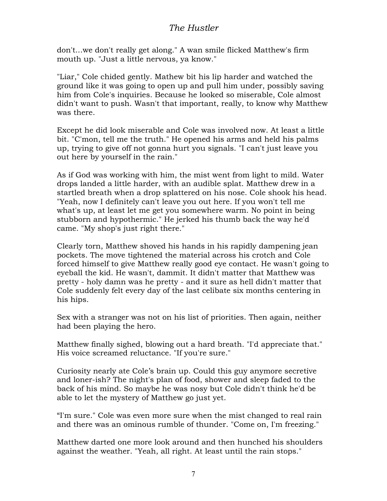don't...we don't really get along." A wan smile flicked Matthew's firm mouth up. "Just a little nervous, ya know."

"Liar," Cole chided gently. Mathew bit his lip harder and watched the ground like it was going to open up and pull him under, possibly saving him from Cole's inquiries. Because he looked so miserable, Cole almost didn't want to push. Wasn't that important, really, to know why Matthew was there.

Except he did look miserable and Cole was involved now. At least a little bit. "C'mon, tell me the truth." He opened his arms and held his palms up, trying to give off not gonna hurt you signals. "I can't just leave you out here by yourself in the rain."

As if God was working with him, the mist went from light to mild. Water drops landed a little harder, with an audible splat. Matthew drew in a startled breath when a drop splattered on his nose. Cole shook his head. "Yeah, now I definitely can't leave you out here. If you won't tell me what's up, at least let me get you somewhere warm. No point in being stubborn and hypothermic." He jerked his thumb back the way he'd came. "My shop's just right there."

Clearly torn, Matthew shoved his hands in his rapidly dampening jean pockets. The move tightened the material across his crotch and Cole forced himself to give Matthew really good eye contact. He wasn't going to eyeball the kid. He wasn't, dammit. It didn't matter that Matthew was pretty - holy damn was he pretty - and it sure as hell didn't matter that Cole suddenly felt every day of the last celibate six months centering in his hips.

Sex with a stranger was not on his list of priorities. Then again, neither had been playing the hero.

Matthew finally sighed, blowing out a hard breath. "I'd appreciate that." His voice screamed reluctance. "If you're sure."

Curiosity nearly ate Cole's brain up. Could this guy anymore secretive and loner-ish? The night's plan of food, shower and sleep faded to the back of his mind. So maybe he was nosy but Cole didn't think he'd be able to let the mystery of Matthew go just yet.

"I'm sure." Cole was even more sure when the mist changed to real rain and there was an ominous rumble of thunder. "Come on, I'm freezing."

Matthew darted one more look around and then hunched his shoulders against the weather. "Yeah, all right. At least until the rain stops."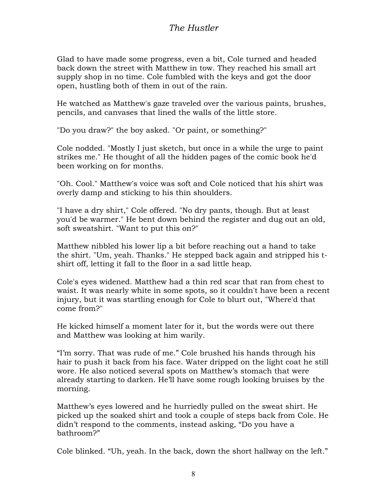Glad to have made some progress, even a bit, Cole turned and headed back down the street with Matthew in tow. They reached his small art supply shop in no time. Cole fumbled with the keys and got the door open, hustling both of them in out of the rain.

He watched as Matthew's gaze traveled over the various paints, brushes, pencils, and canvases that lined the walls of the little store.

"Do you draw?" the boy asked. "Or paint, or something?"

Cole nodded. "Mostly I just sketch, but once in a while the urge to paint strikes me." He thought of all the hidden pages of the comic book he'd been working on for months.

"Oh. Cool." Matthew's voice was soft and Cole noticed that his shirt was overly damp and sticking to his thin shoulders.

"I have a dry shirt," Cole offered. "No dry pants, though. But at least you'd be warmer." He bent down behind the register and dug out an old, soft sweatshirt. "Want to put this on?"

Matthew nibbled his lower lip a bit before reaching out a hand to take the shirt. "Um, yeah. Thanks." He stepped back again and stripped his tshirt off, letting it fall to the floor in a sad little heap.

Cole's eyes widened. Matthew had a thin red scar that ran from chest to waist. It was nearly white in some spots, so it couldn't have been a recent injury, but it was startling enough for Cole to blurt out, "Where'd that come from?"

He kicked himself a moment later for it, but the words were out there and Matthew was looking at him warily.

"I'm sorry. That was rude of me." Cole brushed his hands through his hair to push it back from his face. Water dripped on the light coat he still wore. He also noticed several spots on Matthew's stomach that were already starting to darken. He'll have some rough looking bruises by the morning.

Matthew's eyes lowered and he hurriedly pulled on the sweat shirt. He picked up the soaked shirt and took a couple of steps back from Cole. He didn't respond to the comments, instead asking, "Do you have a bathroom?"

Cole blinked. "Uh, yeah. In the back, down the short hallway on the left."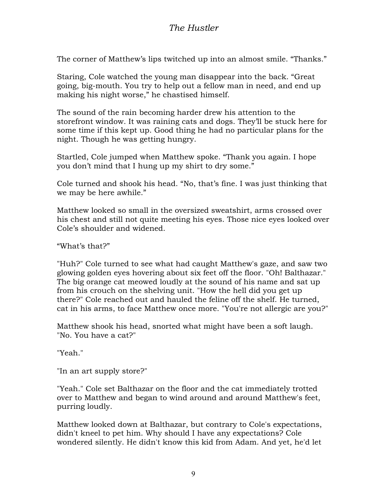The corner of Matthew's lips twitched up into an almost smile. "Thanks."

Staring, Cole watched the young man disappear into the back. "Great going, big-mouth. You try to help out a fellow man in need, and end up making his night worse," he chastised himself.

The sound of the rain becoming harder drew his attention to the storefront window. It was raining cats and dogs. They'll be stuck here for some time if this kept up. Good thing he had no particular plans for the night. Though he was getting hungry.

Startled, Cole jumped when Matthew spoke. "Thank you again. I hope you don't mind that I hung up my shirt to dry some."

Cole turned and shook his head. "No, that's fine. I was just thinking that we may be here awhile."

Matthew looked so small in the oversized sweatshirt, arms crossed over his chest and still not quite meeting his eyes. Those nice eyes looked over Cole's shoulder and widened.

"What's that?"

"Huh?" Cole turned to see what had caught Matthew's gaze, and saw two glowing golden eyes hovering about six feet off the floor. "Oh! Balthazar." The big orange cat meowed loudly at the sound of his name and sat up from his crouch on the shelving unit. "How the hell did you get up there?" Cole reached out and hauled the feline off the shelf. He turned, cat in his arms, to face Matthew once more. "You're not allergic are you?"

Matthew shook his head, snorted what might have been a soft laugh. "No. You have a cat?"

"Yeah."

"In an art supply store?"

"Yeah." Cole set Balthazar on the floor and the cat immediately trotted over to Matthew and began to wind around and around Matthew's feet, purring loudly.

Matthew looked down at Balthazar, but contrary to Cole's expectations, didn't kneel to pet him. Why should I have any expectations? Cole wondered silently. He didn't know this kid from Adam. And yet, he'd let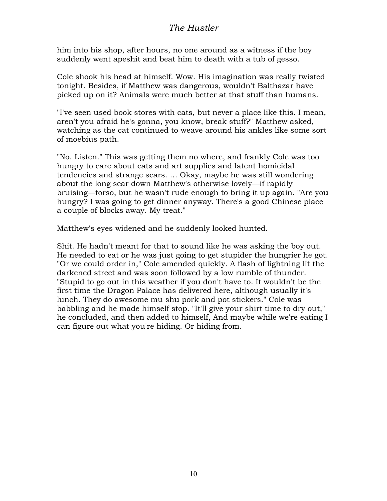him into his shop, after hours, no one around as a witness if the boy suddenly went apeshit and beat him to death with a tub of gesso.

Cole shook his head at himself. Wow. His imagination was really twisted tonight. Besides, if Matthew was dangerous, wouldn't Balthazar have picked up on it? Animals were much better at that stuff than humans.

"I've seen used book stores with cats, but never a place like this. I mean, aren't you afraid he's gonna, you know, break stuff?" Matthew asked, watching as the cat continued to weave around his ankles like some sort of moebius path.

"No. Listen." This was getting them no where, and frankly Cole was too hungry to care about cats and art supplies and latent homicidal tendencies and strange scars. … Okay, maybe he was still wondering about the long scar down Matthew's otherwise lovely—if rapidly bruising—torso, but he wasn't rude enough to bring it up again. "Are you hungry? I was going to get dinner anyway. There's a good Chinese place a couple of blocks away. My treat."

Matthew's eyes widened and he suddenly looked hunted.

Shit. He hadn't meant for that to sound like he was asking the boy out. He needed to eat or he was just going to get stupider the hungrier he got. "Or we could order in," Cole amended quickly. A flash of lightning lit the darkened street and was soon followed by a low rumble of thunder. "Stupid to go out in this weather if you don't have to. It wouldn't be the first time the Dragon Palace has delivered here, although usually it's lunch. They do awesome mu shu pork and pot stickers." Cole was babbling and he made himself stop. "It'll give your shirt time to dry out," he concluded, and then added to himself, And maybe while we're eating I can figure out what you're hiding. Or hiding from.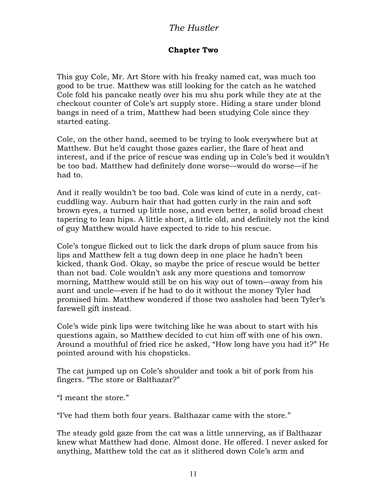#### **Chapter Two**

This guy Cole, Mr. Art Store with his freaky named cat, was much too good to be true. Matthew was still looking for the catch as he watched Cole fold his pancake neatly over his mu shu pork while they ate at the checkout counter of Cole's art supply store. Hiding a stare under blond bangs in need of a trim, Matthew had been studying Cole since they started eating.

Cole, on the other hand, seemed to be trying to look everywhere but at Matthew. But he'd caught those gazes earlier, the flare of heat and interest, and if the price of rescue was ending up in Cole's bed it wouldn't be too bad. Matthew had definitely done worse—would do worse—if he had to.

And it really wouldn't be too bad. Cole was kind of cute in a nerdy, catcuddling way. Auburn hair that had gotten curly in the rain and soft brown eyes, a turned up little nose, and even better, a solid broad chest tapering to lean hips. A little short, a little old, and definitely not the kind of guy Matthew would have expected to ride to his rescue.

Cole's tongue flicked out to lick the dark drops of plum sauce from his lips and Matthew felt a tug down deep in one place he hadn't been kicked, thank God. Okay, so maybe the price of rescue would be better than not bad. Cole wouldn't ask any more questions and tomorrow morning, Matthew would still be on his way out of town—away from his aunt and uncle—even if he had to do it without the money Tyler had promised him. Matthew wondered if those two assholes had been Tyler's farewell gift instead.

Cole's wide pink lips were twitching like he was about to start with his questions again, so Matthew decided to cut him off with one of his own. Around a mouthful of fried rice he asked, "How long have you had it?" He pointed around with his chopsticks.

The cat jumped up on Cole's shoulder and took a bit of pork from his fingers. "The store or Balthazar?"

"I meant the store."

"I've had them both four years. Balthazar came with the store."

The steady gold gaze from the cat was a little unnerving, as if Balthazar knew what Matthew had done. Almost done. He offered. I never asked for anything, Matthew told the cat as it slithered down Cole's arm and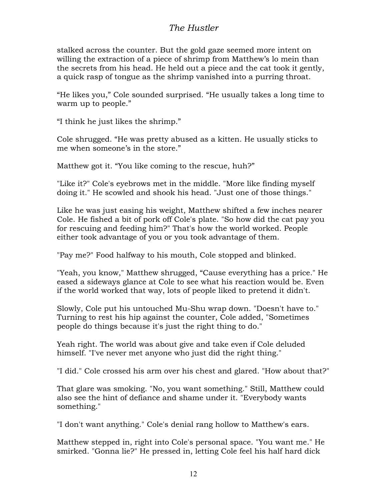stalked across the counter. But the gold gaze seemed more intent on willing the extraction of a piece of shrimp from Matthew's lo mein than the secrets from his head. He held out a piece and the cat took it gently, a quick rasp of tongue as the shrimp vanished into a purring throat.

"He likes you," Cole sounded surprised. "He usually takes a long time to warm up to people."

"I think he just likes the shrimp."

Cole shrugged. "He was pretty abused as a kitten. He usually sticks to me when someone's in the store."

Matthew got it. "You like coming to the rescue, huh?"

"Like it?" Cole's eyebrows met in the middle. "More like finding myself doing it." He scowled and shook his head. "Just one of those things."

Like he was just easing his weight, Matthew shifted a few inches nearer Cole. He fished a bit of pork off Cole's plate. "So how did the cat pay you for rescuing and feeding him?" That's how the world worked. People either took advantage of you or you took advantage of them.

"Pay me?" Food halfway to his mouth, Cole stopped and blinked.

"Yeah, you know," Matthew shrugged, "Cause everything has a price." He eased a sideways glance at Cole to see what his reaction would be. Even if the world worked that way, lots of people liked to pretend it didn't.

Slowly, Cole put his untouched Mu-Shu wrap down. "Doesn't have to." Turning to rest his hip against the counter, Cole added, "Sometimes people do things because it's just the right thing to do."

Yeah right. The world was about give and take even if Cole deluded himself. "I've never met anyone who just did the right thing."

"I did." Cole crossed his arm over his chest and glared. "How about that?"

That glare was smoking. "No, you want something." Still, Matthew could also see the hint of defiance and shame under it. "Everybody wants something."

"I don't want anything." Cole's denial rang hollow to Matthew's ears.

Matthew stepped in, right into Cole's personal space. "You want me." He smirked. "Gonna lie?" He pressed in, letting Cole feel his half hard dick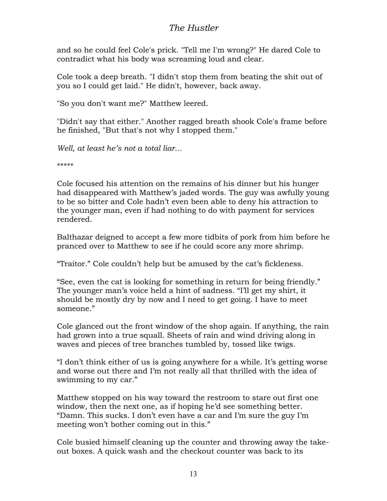and so he could feel Cole's prick. "Tell me I'm wrong?" He dared Cole to contradict what his body was screaming loud and clear.

Cole took a deep breath. "I didn't stop them from beating the shit out of you so I could get laid." He didn't, however, back away.

"So you don't want me?" Matthew leered.

"Didn't say that either." Another ragged breath shook Cole's frame before he finished, "But that's not why I stopped them."

*Well, at least he's not a total liar…* 

\*\*\*\*\*

Cole focused his attention on the remains of his dinner but his hunger had disappeared with Matthew's jaded words. The guy was awfully young to be so bitter and Cole hadn't even been able to deny his attraction to the younger man, even if had nothing to do with payment for services rendered.

Balthazar deigned to accept a few more tidbits of pork from him before he pranced over to Matthew to see if he could score any more shrimp.

"Traitor." Cole couldn't help but be amused by the cat's fickleness.

"See, even the cat is looking for something in return for being friendly." The younger man's voice held a hint of sadness. "I'll get my shirt, it should be mostly dry by now and I need to get going. I have to meet someone."

Cole glanced out the front window of the shop again. If anything, the rain had grown into a true squall. Sheets of rain and wind driving along in waves and pieces of tree branches tumbled by, tossed like twigs.

"I don't think either of us is going anywhere for a while. It's getting worse and worse out there and I'm not really all that thrilled with the idea of swimming to my car."

Matthew stopped on his way toward the restroom to stare out first one window, then the next one, as if hoping he'd see something better. "Damn. This sucks. I don't even have a car and I'm sure the guy I'm meeting won't bother coming out in this."

Cole busied himself cleaning up the counter and throwing away the takeout boxes. A quick wash and the checkout counter was back to its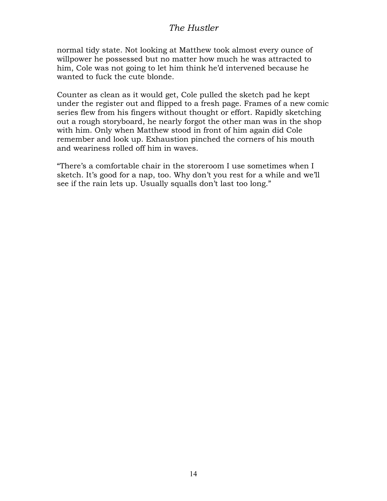normal tidy state. Not looking at Matthew took almost every ounce of willpower he possessed but no matter how much he was attracted to him, Cole was not going to let him think he'd intervened because he wanted to fuck the cute blonde.

Counter as clean as it would get, Cole pulled the sketch pad he kept under the register out and flipped to a fresh page. Frames of a new comic series flew from his fingers without thought or effort. Rapidly sketching out a rough storyboard, he nearly forgot the other man was in the shop with him. Only when Matthew stood in front of him again did Cole remember and look up. Exhaustion pinched the corners of his mouth and weariness rolled off him in waves.

"There's a comfortable chair in the storeroom I use sometimes when I sketch. It's good for a nap, too. Why don't you rest for a while and we'll see if the rain lets up. Usually squalls don't last too long."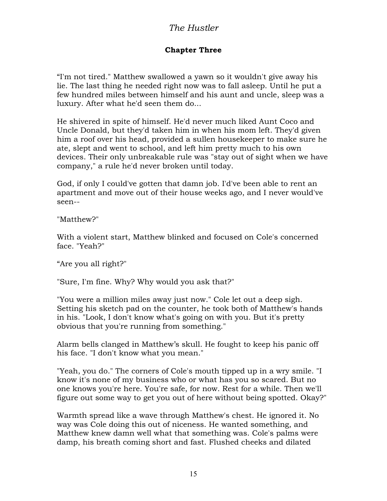### **Chapter Three**

"I'm not tired." Matthew swallowed a yawn so it wouldn't give away his lie. The last thing he needed right now was to fall asleep. Until he put a few hundred miles between himself and his aunt and uncle, sleep was a luxury. After what he'd seen them do...

He shivered in spite of himself. He'd never much liked Aunt Coco and Uncle Donald, but they'd taken him in when his mom left. They'd given him a roof over his head, provided a sullen housekeeper to make sure he ate, slept and went to school, and left him pretty much to his own devices. Their only unbreakable rule was "stay out of sight when we have company," a rule he'd never broken until today.

God, if only I could've gotten that damn job. I'd've been able to rent an apartment and move out of their house weeks ago, and I never would've seen--

"Matthew?"

With a violent start, Matthew blinked and focused on Cole's concerned face. "Yeah?"

"Are you all right?"

"Sure, I'm fine. Why? Why would you ask that?"

"You were a million miles away just now." Cole let out a deep sigh. Setting his sketch pad on the counter, he took both of Matthew's hands in his. "Look, I don't know what's going on with you. But it's pretty obvious that you're running from something."

Alarm bells clanged in Matthew's skull. He fought to keep his panic off his face. "I don't know what you mean."

"Yeah, you do." The corners of Cole's mouth tipped up in a wry smile. "I know it's none of my business who or what has you so scared. But no one knows you're here. You're safe, for now. Rest for a while. Then we'll figure out some way to get you out of here without being spotted. Okay?"

Warmth spread like a wave through Matthew's chest. He ignored it. No way was Cole doing this out of niceness. He wanted something, and Matthew knew damn well what that something was. Cole's palms were damp, his breath coming short and fast. Flushed cheeks and dilated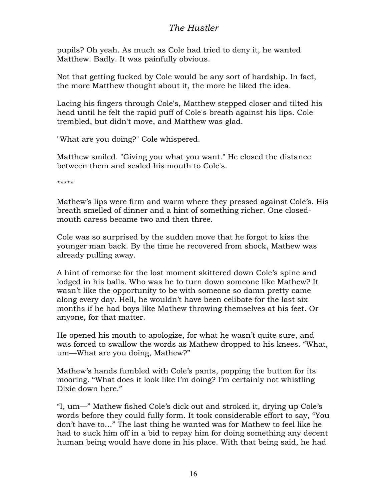pupils? Oh yeah. As much as Cole had tried to deny it, he wanted Matthew. Badly. It was painfully obvious.

Not that getting fucked by Cole would be any sort of hardship. In fact, the more Matthew thought about it, the more he liked the idea.

Lacing his fingers through Cole's, Matthew stepped closer and tilted his head until he felt the rapid puff of Cole's breath against his lips. Cole trembled, but didn't move, and Matthew was glad.

"What are you doing?" Cole whispered.

Matthew smiled. "Giving you what you want." He closed the distance between them and sealed his mouth to Cole's.

\*\*\*\*\*

Mathew's lips were firm and warm where they pressed against Cole's. His breath smelled of dinner and a hint of something richer. One closedmouth caress became two and then three.

Cole was so surprised by the sudden move that he forgot to kiss the younger man back. By the time he recovered from shock, Mathew was already pulling away.

A hint of remorse for the lost moment skittered down Cole's spine and lodged in his balls. Who was he to turn down someone like Mathew? It wasn't like the opportunity to be with someone so damn pretty came along every day. Hell, he wouldn't have been celibate for the last six months if he had boys like Mathew throwing themselves at his feet. Or anyone, for that matter.

He opened his mouth to apologize, for what he wasn't quite sure, and was forced to swallow the words as Mathew dropped to his knees. "What, um—What are you doing, Mathew?"

Mathew's hands fumbled with Cole's pants, popping the button for its mooring. "What does it look like I'm doing? I'm certainly not whistling Dixie down here."

"I, um—" Mathew fished Cole's dick out and stroked it, drying up Cole's words before they could fully form. It took considerable effort to say, "You don't have to…" The last thing he wanted was for Mathew to feel like he had to suck him off in a bid to repay him for doing something any decent human being would have done in his place. With that being said, he had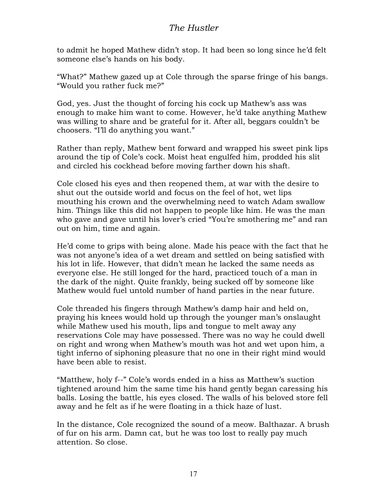to admit he hoped Mathew didn't stop. It had been so long since he'd felt someone else's hands on his body.

"What?" Mathew gazed up at Cole through the sparse fringe of his bangs. "Would you rather fuck me?"

God, yes. Just the thought of forcing his cock up Mathew's ass was enough to make him want to come. However, he'd take anything Mathew was willing to share and be grateful for it. After all, beggars couldn't be choosers. "I'll do anything you want."

Rather than reply, Mathew bent forward and wrapped his sweet pink lips around the tip of Cole's cock. Moist heat engulfed him, prodded his slit and circled his cockhead before moving farther down his shaft.

Cole closed his eyes and then reopened them, at war with the desire to shut out the outside world and focus on the feel of hot, wet lips mouthing his crown and the overwhelming need to watch Adam swallow him. Things like this did not happen to people like him. He was the man who gave and gave until his lover's cried "You're smothering me" and ran out on him, time and again.

He'd come to grips with being alone. Made his peace with the fact that he was not anyone's idea of a wet dream and settled on being satisfied with his lot in life. However, that didn't mean he lacked the same needs as everyone else. He still longed for the hard, practiced touch of a man in the dark of the night. Quite frankly, being sucked off by someone like Mathew would fuel untold number of hand parties in the near future.

Cole threaded his fingers through Mathew's damp hair and held on, praying his knees would hold up through the younger man's onslaught while Mathew used his mouth, lips and tongue to melt away any reservations Cole may have possessed. There was no way he could dwell on right and wrong when Mathew's mouth was hot and wet upon him, a tight inferno of siphoning pleasure that no one in their right mind would have been able to resist.

"Matthew, holy f--" Cole's words ended in a hiss as Matthew's suction tightened around him the same time his hand gently began caressing his balls. Losing the battle, his eyes closed. The walls of his beloved store fell away and he felt as if he were floating in a thick haze of lust.

In the distance, Cole recognized the sound of a meow. Balthazar. A brush of fur on his arm. Damn cat, but he was too lost to really pay much attention. So close.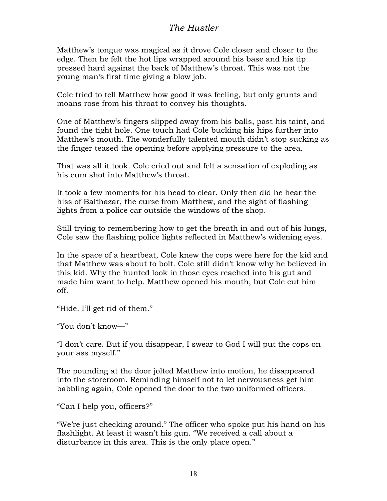Matthew's tongue was magical as it drove Cole closer and closer to the edge. Then he felt the hot lips wrapped around his base and his tip pressed hard against the back of Matthew's throat. This was not the young man's first time giving a blow job.

Cole tried to tell Matthew how good it was feeling, but only grunts and moans rose from his throat to convey his thoughts.

One of Matthew's fingers slipped away from his balls, past his taint, and found the tight hole. One touch had Cole bucking his hips further into Matthew's mouth. The wonderfully talented mouth didn't stop sucking as the finger teased the opening before applying pressure to the area.

That was all it took. Cole cried out and felt a sensation of exploding as his cum shot into Matthew's throat.

It took a few moments for his head to clear. Only then did he hear the hiss of Balthazar, the curse from Matthew, and the sight of flashing lights from a police car outside the windows of the shop.

Still trying to remembering how to get the breath in and out of his lungs, Cole saw the flashing police lights reflected in Matthew's widening eyes.

In the space of a heartbeat, Cole knew the cops were here for the kid and that Matthew was about to bolt. Cole still didn't know why he believed in this kid. Why the hunted look in those eyes reached into his gut and made him want to help. Matthew opened his mouth, but Cole cut him off.

"Hide. I'll get rid of them."

"You don't know—"

"I don't care. But if you disappear, I swear to God I will put the cops on your ass myself."

The pounding at the door jolted Matthew into motion, he disappeared into the storeroom. Reminding himself not to let nervousness get him babbling again, Cole opened the door to the two uniformed officers.

"Can I help you, officers?"

"We're just checking around." The officer who spoke put his hand on his flashlight. At least it wasn't his gun. "We received a call about a disturbance in this area. This is the only place open."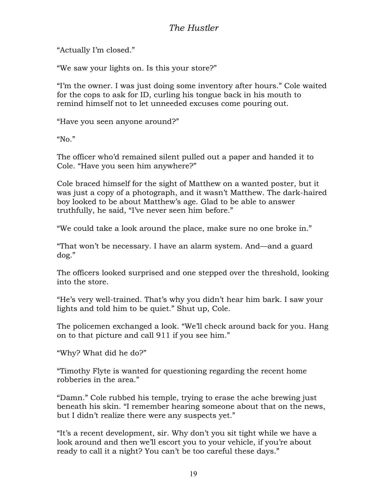"Actually I'm closed."

"We saw your lights on. Is this your store?"

"I'm the owner. I was just doing some inventory after hours." Cole waited for the cops to ask for ID, curling his tongue back in his mouth to remind himself not to let unneeded excuses come pouring out.

"Have you seen anyone around?"

" $No.$ "

The officer who'd remained silent pulled out a paper and handed it to Cole. "Have you seen him anywhere?"

Cole braced himself for the sight of Matthew on a wanted poster, but it was just a copy of a photograph, and it wasn't Matthew. The dark-haired boy looked to be about Matthew's age. Glad to be able to answer truthfully, he said, "I've never seen him before."

"We could take a look around the place, make sure no one broke in."

"That won't be necessary. I have an alarm system. And—and a guard dog."

The officers looked surprised and one stepped over the threshold, looking into the store.

"He's very well-trained. That's why you didn't hear him bark. I saw your lights and told him to be quiet." Shut up, Cole.

The policemen exchanged a look. "We'll check around back for you. Hang on to that picture and call 911 if you see him."

"Why? What did he do?"

"Timothy Flyte is wanted for questioning regarding the recent home robberies in the area."

"Damn." Cole rubbed his temple, trying to erase the ache brewing just beneath his skin. "I remember hearing someone about that on the news, but I didn't realize there were any suspects yet."

"It's a recent development, sir. Why don't you sit tight while we have a look around and then we'll escort you to your vehicle, if you're about ready to call it a night? You can't be too careful these days."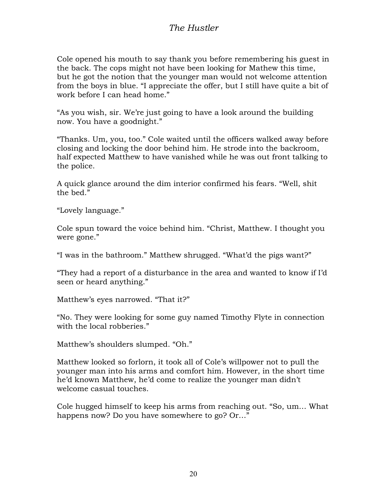Cole opened his mouth to say thank you before remembering his guest in the back. The cops might not have been looking for Mathew this time, but he got the notion that the younger man would not welcome attention from the boys in blue. "I appreciate the offer, but I still have quite a bit of work before I can head home."

"As you wish, sir. We're just going to have a look around the building now. You have a goodnight."

"Thanks. Um, you, too." Cole waited until the officers walked away before closing and locking the door behind him. He strode into the backroom, half expected Matthew to have vanished while he was out front talking to the police.

A quick glance around the dim interior confirmed his fears. "Well, shit the bed."

"Lovely language."

Cole spun toward the voice behind him. "Christ, Matthew. I thought you were gone."

"I was in the bathroom." Matthew shrugged. "What'd the pigs want?"

"They had a report of a disturbance in the area and wanted to know if I'd seen or heard anything."

Matthew's eyes narrowed. "That it?"

"No. They were looking for some guy named Timothy Flyte in connection with the local robberies."

Matthew's shoulders slumped. "Oh."

Matthew looked so forlorn, it took all of Cole's willpower not to pull the younger man into his arms and comfort him. However, in the short time he'd known Matthew, he'd come to realize the younger man didn't welcome casual touches.

Cole hugged himself to keep his arms from reaching out. "So, um… What happens now? Do you have somewhere to go? Or…"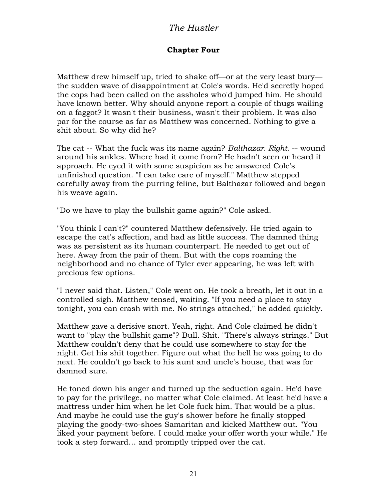#### **Chapter Four**

Matthew drew himself up, tried to shake off—or at the very least bury the sudden wave of disappointment at Cole's words. He'd secretly hoped the cops had been called on the assholes who'd jumped him. He should have known better. Why should anyone report a couple of thugs wailing on a faggot? It wasn't their business, wasn't their problem. It was also par for the course as far as Matthew was concerned. Nothing to give a shit about. So why did he?

The cat -- What the fuck was its name again? *Balthazar. Right.* -- wound around his ankles. Where had it come from? He hadn't seen or heard it approach. He eyed it with some suspicion as he answered Cole's unfinished question. "I can take care of myself." Matthew stepped carefully away from the purring feline, but Balthazar followed and began his weave again.

"Do we have to play the bullshit game again?" Cole asked.

"You think I can't?" countered Matthew defensively. He tried again to escape the cat's affection, and had as little success. The damned thing was as persistent as its human counterpart. He needed to get out of here. Away from the pair of them. But with the cops roaming the neighborhood and no chance of Tyler ever appearing, he was left with precious few options.

"I never said that. Listen," Cole went on. He took a breath, let it out in a controlled sigh. Matthew tensed, waiting. "If you need a place to stay tonight, you can crash with me. No strings attached," he added quickly.

Matthew gave a derisive snort. Yeah, right. And Cole claimed he didn't want to "play the bullshit game"? Bull. Shit. "There's always strings." But Matthew couldn't deny that he could use somewhere to stay for the night. Get his shit together. Figure out what the hell he was going to do next. He couldn't go back to his aunt and uncle's house, that was for damned sure.

He toned down his anger and turned up the seduction again. He'd have to pay for the privilege, no matter what Cole claimed. At least he'd have a mattress under him when he let Cole fuck him. That would be a plus. And maybe he could use the guy's shower before he finally stopped playing the goody-two-shoes Samaritan and kicked Matthew out. "You liked your payment before. I could make your offer worth your while." He took a step forward… and promptly tripped over the cat.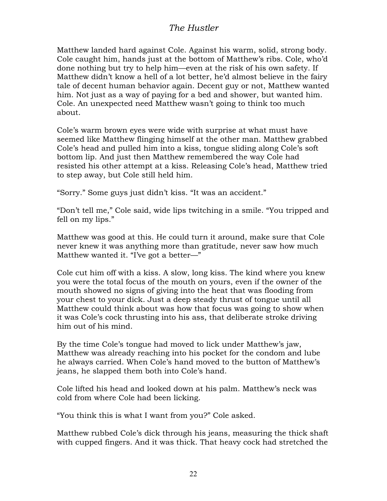Matthew landed hard against Cole. Against his warm, solid, strong body. Cole caught him, hands just at the bottom of Matthew's ribs. Cole, who'd done nothing but try to help him—even at the risk of his own safety. If Matthew didn't know a hell of a lot better, he'd almost believe in the fairy tale of decent human behavior again. Decent guy or not, Matthew wanted him. Not just as a way of paying for a bed and shower, but wanted him. Cole. An unexpected need Matthew wasn't going to think too much about.

Cole's warm brown eyes were wide with surprise at what must have seemed like Matthew flinging himself at the other man. Matthew grabbed Cole's head and pulled him into a kiss, tongue sliding along Cole's soft bottom lip. And just then Matthew remembered the way Cole had resisted his other attempt at a kiss. Releasing Cole's head, Matthew tried to step away, but Cole still held him.

"Sorry." Some guys just didn't kiss. "It was an accident."

"Don't tell me," Cole said, wide lips twitching in a smile. "You tripped and fell on my lips."

Matthew was good at this. He could turn it around, make sure that Cole never knew it was anything more than gratitude, never saw how much Matthew wanted it. "I've got a better—"

Cole cut him off with a kiss. A slow, long kiss. The kind where you knew you were the total focus of the mouth on yours, even if the owner of the mouth showed no signs of giving into the heat that was flooding from your chest to your dick. Just a deep steady thrust of tongue until all Matthew could think about was how that focus was going to show when it was Cole's cock thrusting into his ass, that deliberate stroke driving him out of his mind.

By the time Cole's tongue had moved to lick under Matthew's jaw, Matthew was already reaching into his pocket for the condom and lube he always carried. When Cole's hand moved to the button of Matthew's jeans, he slapped them both into Cole's hand.

Cole lifted his head and looked down at his palm. Matthew's neck was cold from where Cole had been licking.

"You think this is what I want from you?" Cole asked.

Matthew rubbed Cole's dick through his jeans, measuring the thick shaft with cupped fingers. And it was thick. That heavy cock had stretched the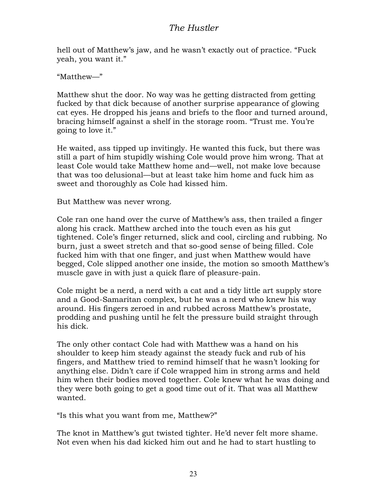hell out of Matthew's jaw, and he wasn't exactly out of practice. "Fuck yeah, you want it."

"Matthew—"

Matthew shut the door. No way was he getting distracted from getting fucked by that dick because of another surprise appearance of glowing cat eyes. He dropped his jeans and briefs to the floor and turned around, bracing himself against a shelf in the storage room. "Trust me. You're going to love it."

He waited, ass tipped up invitingly. He wanted this fuck, but there was still a part of him stupidly wishing Cole would prove him wrong. That at least Cole would take Matthew home and—well, not make love because that was too delusional—but at least take him home and fuck him as sweet and thoroughly as Cole had kissed him.

But Matthew was never wrong.

Cole ran one hand over the curve of Matthew's ass, then trailed a finger along his crack. Matthew arched into the touch even as his gut tightened. Cole's finger returned, slick and cool, circling and rubbing. No burn, just a sweet stretch and that so-good sense of being filled. Cole fucked him with that one finger, and just when Matthew would have begged, Cole slipped another one inside, the motion so smooth Matthew's muscle gave in with just a quick flare of pleasure-pain.

Cole might be a nerd, a nerd with a cat and a tidy little art supply store and a Good-Samaritan complex, but he was a nerd who knew his way around. His fingers zeroed in and rubbed across Matthew's prostate, prodding and pushing until he felt the pressure build straight through his dick.

The only other contact Cole had with Matthew was a hand on his shoulder to keep him steady against the steady fuck and rub of his fingers, and Matthew tried to remind himself that he wasn't looking for anything else. Didn't care if Cole wrapped him in strong arms and held him when their bodies moved together. Cole knew what he was doing and they were both going to get a good time out of it. That was all Matthew wanted.

"Is this what you want from me, Matthew?"

The knot in Matthew's gut twisted tighter. He'd never felt more shame. Not even when his dad kicked him out and he had to start hustling to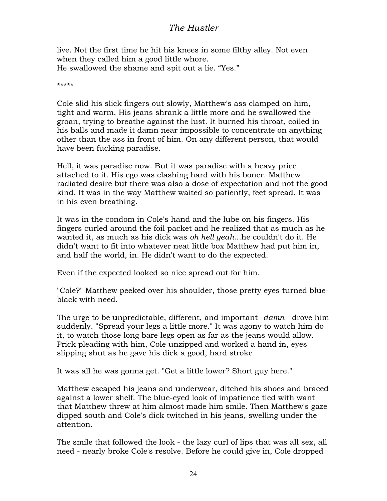live. Not the first time he hit his knees in some filthy alley. Not even when they called him a good little whore. He swallowed the shame and spit out a lie. "Yes."

\*\*\*\*\*

Cole slid his slick fingers out slowly, Matthew's ass clamped on him, tight and warm. His jeans shrank a little more and he swallowed the groan, trying to breathe against the lust. It burned his throat, coiled in his balls and made it damn near impossible to concentrate on anything other than the ass in front of him. On any different person, that would have been fucking paradise.

Hell, it was paradise now. But it was paradise with a heavy price attached to it. His ego was clashing hard with his boner. Matthew radiated desire but there was also a dose of expectation and not the good kind. It was in the way Matthew waited so patiently, feet spread. It was in his even breathing.

It was in the condom in Cole's hand and the lube on his fingers. His fingers curled around the foil packet and he realized that as much as he wanted it, as much as his dick was *oh hell yeah*...he couldn't do it. He didn't want to fit into whatever neat little box Matthew had put him in, and half the world, in. He didn't want to do the expected.

Even if the expected looked so nice spread out for him.

"Cole?" Matthew peeked over his shoulder, those pretty eyes turned blueblack with need.

The urge to be unpredictable, different, and important -*damn* - drove him suddenly. "Spread your legs a little more." It was agony to watch him do it, to watch those long bare legs open as far as the jeans would allow. Prick pleading with him, Cole unzipped and worked a hand in, eyes slipping shut as he gave his dick a good, hard stroke

It was all he was gonna get. "Get a little lower? Short guy here."

Matthew escaped his jeans and underwear, ditched his shoes and braced against a lower shelf. The blue-eyed look of impatience tied with want that Matthew threw at him almost made him smile. Then Matthew's gaze dipped south and Cole's dick twitched in his jeans, swelling under the attention.

The smile that followed the look - the lazy curl of lips that was all sex, all need - nearly broke Cole's resolve. Before he could give in, Cole dropped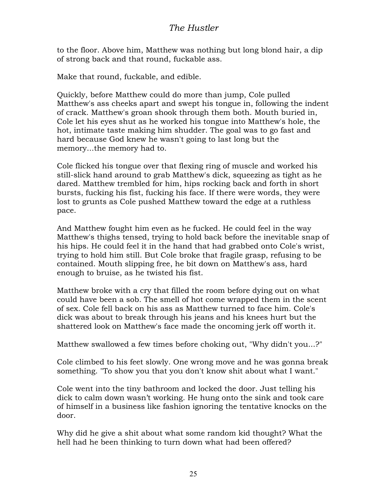to the floor. Above him, Matthew was nothing but long blond hair, a dip of strong back and that round, fuckable ass.

Make that round, fuckable, and edible.

Quickly, before Matthew could do more than jump, Cole pulled Matthew's ass cheeks apart and swept his tongue in, following the indent of crack. Matthew's groan shook through them both. Mouth buried in, Cole let his eyes shut as he worked his tongue into Matthew's hole, the hot, intimate taste making him shudder. The goal was to go fast and hard because God knew he wasn't going to last long but the memory...the memory had to.

Cole flicked his tongue over that flexing ring of muscle and worked his still-slick hand around to grab Matthew's dick, squeezing as tight as he dared. Matthew trembled for him, hips rocking back and forth in short bursts, fucking his fist, fucking his face. If there were words, they were lost to grunts as Cole pushed Matthew toward the edge at a ruthless pace.

And Matthew fought him even as he fucked. He could feel in the way Matthew's thighs tensed, trying to hold back before the inevitable snap of his hips. He could feel it in the hand that had grabbed onto Cole's wrist, trying to hold him still. But Cole broke that fragile grasp, refusing to be contained. Mouth slipping free, he bit down on Matthew's ass, hard enough to bruise, as he twisted his fist.

Matthew broke with a cry that filled the room before dying out on what could have been a sob. The smell of hot come wrapped them in the scent of sex. Cole fell back on his ass as Matthew turned to face him. Cole's dick was about to break through his jeans and his knees hurt but the shattered look on Matthew's face made the oncoming jerk off worth it.

Matthew swallowed a few times before choking out, "Why didn't you...?"

Cole climbed to his feet slowly. One wrong move and he was gonna break something. "To show you that you don't know shit about what I want."

Cole went into the tiny bathroom and locked the door. Just telling his dick to calm down wasn't working. He hung onto the sink and took care of himself in a business like fashion ignoring the tentative knocks on the door.

Why did he give a shit about what some random kid thought? What the hell had he been thinking to turn down what had been offered?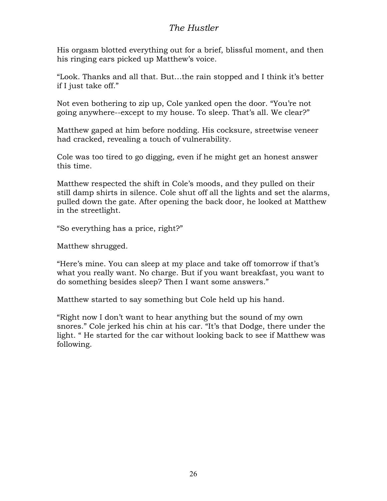His orgasm blotted everything out for a brief, blissful moment, and then his ringing ears picked up Matthew's voice.

"Look. Thanks and all that. But…the rain stopped and I think it's better if I just take off."

Not even bothering to zip up, Cole yanked open the door. "You're not going anywhere--except to my house. To sleep. That's all. We clear?"

Matthew gaped at him before nodding. His cocksure, streetwise veneer had cracked, revealing a touch of vulnerability.

Cole was too tired to go digging, even if he might get an honest answer this time.

Matthew respected the shift in Cole's moods, and they pulled on their still damp shirts in silence. Cole shut off all the lights and set the alarms, pulled down the gate. After opening the back door, he looked at Matthew in the streetlight.

"So everything has a price, right?"

Matthew shrugged.

"Here's mine. You can sleep at my place and take off tomorrow if that's what you really want. No charge. But if you want breakfast, you want to do something besides sleep? Then I want some answers."

Matthew started to say something but Cole held up his hand.

"Right now I don't want to hear anything but the sound of my own snores." Cole jerked his chin at his car. "It's that Dodge, there under the light. " He started for the car without looking back to see if Matthew was following.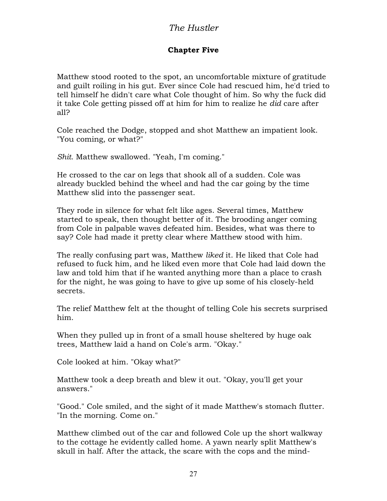### **Chapter Five**

Matthew stood rooted to the spot, an uncomfortable mixture of gratitude and guilt roiling in his gut. Ever since Cole had rescued him, he'd tried to tell himself he didn't care what Cole thought of him. So why the fuck did it take Cole getting pissed off at him for him to realize he *did* care after all?

Cole reached the Dodge, stopped and shot Matthew an impatient look. "You coming, or what?"

*Shit*. Matthew swallowed. "Yeah, I'm coming."

He crossed to the car on legs that shook all of a sudden. Cole was already buckled behind the wheel and had the car going by the time Matthew slid into the passenger seat.

They rode in silence for what felt like ages. Several times, Matthew started to speak, then thought better of it. The brooding anger coming from Cole in palpable waves defeated him. Besides, what was there to say? Cole had made it pretty clear where Matthew stood with him.

The really confusing part was, Matthew *liked* it. He liked that Cole had refused to fuck him, and he liked even more that Cole had laid down the law and told him that if he wanted anything more than a place to crash for the night, he was going to have to give up some of his closely-held secrets.

The relief Matthew felt at the thought of telling Cole his secrets surprised him.

When they pulled up in front of a small house sheltered by huge oak trees, Matthew laid a hand on Cole's arm. "Okay."

Cole looked at him. "Okay what?"

Matthew took a deep breath and blew it out. "Okay, you'll get your answers."

"Good." Cole smiled, and the sight of it made Matthew's stomach flutter. "In the morning. Come on."

Matthew climbed out of the car and followed Cole up the short walkway to the cottage he evidently called home. A yawn nearly split Matthew's skull in half. After the attack, the scare with the cops and the mind-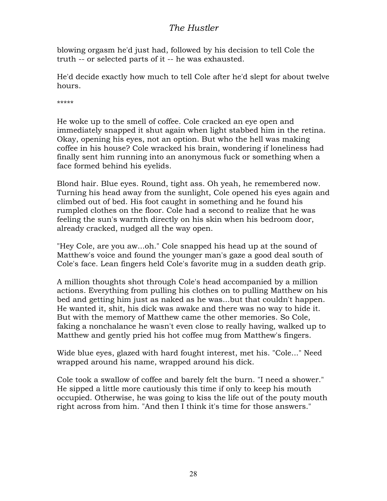blowing orgasm he'd just had, followed by his decision to tell Cole the truth -- or selected parts of it -- he was exhausted.

He'd decide exactly how much to tell Cole after he'd slept for about twelve hours.

\*\*\*\*\*

He woke up to the smell of coffee. Cole cracked an eye open and immediately snapped it shut again when light stabbed him in the retina. Okay, opening his eyes, not an option. But who the hell was making coffee in his house? Cole wracked his brain, wondering if loneliness had finally sent him running into an anonymous fuck or something when a face formed behind his eyelids.

Blond hair. Blue eyes. Round, tight ass. Oh yeah, he remembered now. Turning his head away from the sunlight, Cole opened his eyes again and climbed out of bed. His foot caught in something and he found his rumpled clothes on the floor. Cole had a second to realize that he was feeling the sun's warmth directly on his skin when his bedroom door, already cracked, nudged all the way open.

"Hey Cole, are you aw...oh." Cole snapped his head up at the sound of Matthew's voice and found the younger man's gaze a good deal south of Cole's face. Lean fingers held Cole's favorite mug in a sudden death grip.

A million thoughts shot through Cole's head accompanied by a million actions. Everything from pulling his clothes on to pulling Matthew on his bed and getting him just as naked as he was...but that couldn't happen. He wanted it, shit, his dick was awake and there was no way to hide it. But with the memory of Matthew came the other memories. So Cole, faking a nonchalance he wasn't even close to really having, walked up to Matthew and gently pried his hot coffee mug from Matthew's fingers.

Wide blue eyes, glazed with hard fought interest, met his. "Cole..." Need wrapped around his name, wrapped around his dick.

Cole took a swallow of coffee and barely felt the burn. "I need a shower." He sipped a little more cautiously this time if only to keep his mouth occupied. Otherwise, he was going to kiss the life out of the pouty mouth right across from him. "And then I think it's time for those answers."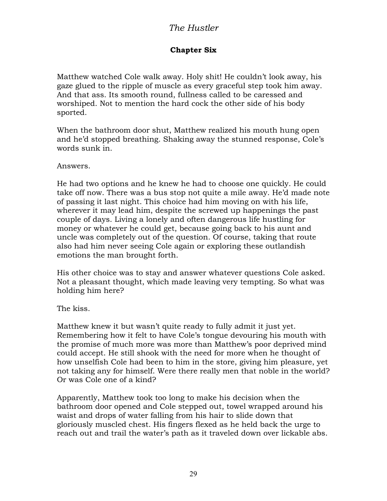### **Chapter Six**

Matthew watched Cole walk away. Holy shit! He couldn't look away, his gaze glued to the ripple of muscle as every graceful step took him away. And that ass. Its smooth round, fullness called to be caressed and worshiped. Not to mention the hard cock the other side of his body sported.

When the bathroom door shut, Matthew realized his mouth hung open and he'd stopped breathing. Shaking away the stunned response, Cole's words sunk in.

Answers.

He had two options and he knew he had to choose one quickly. He could take off now. There was a bus stop not quite a mile away. He'd made note of passing it last night. This choice had him moving on with his life, wherever it may lead him, despite the screwed up happenings the past couple of days. Living a lonely and often dangerous life hustling for money or whatever he could get, because going back to his aunt and uncle was completely out of the question. Of course, taking that route also had him never seeing Cole again or exploring these outlandish emotions the man brought forth.

His other choice was to stay and answer whatever questions Cole asked. Not a pleasant thought, which made leaving very tempting. So what was holding him here?

The kiss.

Matthew knew it but wasn't quite ready to fully admit it just yet. Remembering how it felt to have Cole's tongue devouring his mouth with the promise of much more was more than Matthew's poor deprived mind could accept. He still shook with the need for more when he thought of how unselfish Cole had been to him in the store, giving him pleasure, yet not taking any for himself. Were there really men that noble in the world? Or was Cole one of a kind?

Apparently, Matthew took too long to make his decision when the bathroom door opened and Cole stepped out, towel wrapped around his waist and drops of water falling from his hair to slide down that gloriously muscled chest. His fingers flexed as he held back the urge to reach out and trail the water's path as it traveled down over lickable abs.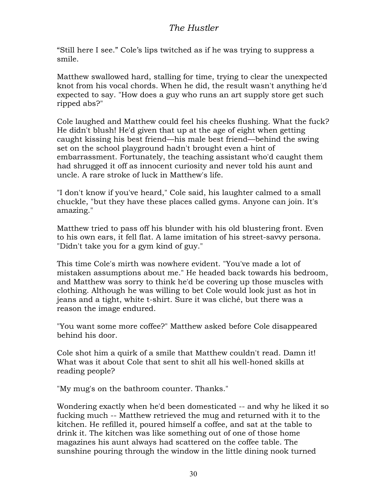"Still here I see." Cole's lips twitched as if he was trying to suppress a smile.

Matthew swallowed hard, stalling for time, trying to clear the unexpected knot from his vocal chords. When he did, the result wasn't anything he'd expected to say. "How does a guy who runs an art supply store get such ripped abs?"

Cole laughed and Matthew could feel his cheeks flushing. What the fuck? He didn't blush! He'd given that up at the age of eight when getting caught kissing his best friend—his male best friend—behind the swing set on the school playground hadn't brought even a hint of embarrassment. Fortunately, the teaching assistant who'd caught them had shrugged it off as innocent curiosity and never told his aunt and uncle. A rare stroke of luck in Matthew's life.

"I don't know if you've heard," Cole said, his laughter calmed to a small chuckle, "but they have these places called gyms. Anyone can join. It's amazing."

Matthew tried to pass off his blunder with his old blustering front. Even to his own ears, it fell flat. A lame imitation of his street-savvy persona. "Didn't take you for a gym kind of guy."

This time Cole's mirth was nowhere evident. "You've made a lot of mistaken assumptions about me." He headed back towards his bedroom, and Matthew was sorry to think he'd be covering up those muscles with clothing. Although he was willing to bet Cole would look just as hot in jeans and a tight, white t-shirt. Sure it was cliché, but there was a reason the image endured.

"You want some more coffee?" Matthew asked before Cole disappeared behind his door.

Cole shot him a quirk of a smile that Matthew couldn't read. Damn it! What was it about Cole that sent to shit all his well-honed skills at reading people?

"My mug's on the bathroom counter. Thanks."

Wondering exactly when he'd been domesticated -- and why he liked it so fucking much -- Matthew retrieved the mug and returned with it to the kitchen. He refilled it, poured himself a coffee, and sat at the table to drink it. The kitchen was like something out of one of those home magazines his aunt always had scattered on the coffee table. The sunshine pouring through the window in the little dining nook turned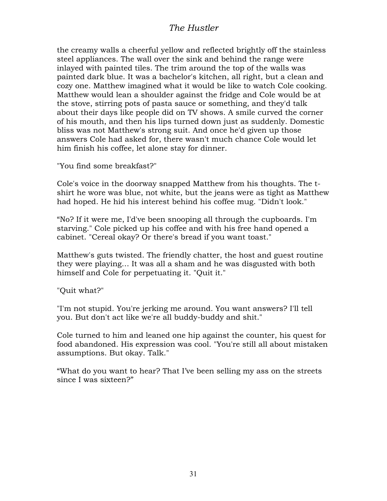the creamy walls a cheerful yellow and reflected brightly off the stainless steel appliances. The wall over the sink and behind the range were inlayed with painted tiles. The trim around the top of the walls was painted dark blue. It was a bachelor's kitchen, all right, but a clean and cozy one. Matthew imagined what it would be like to watch Cole cooking. Matthew would lean a shoulder against the fridge and Cole would be at the stove, stirring pots of pasta sauce or something, and they'd talk about their days like people did on TV shows. A smile curved the corner of his mouth, and then his lips turned down just as suddenly. Domestic bliss was not Matthew's strong suit. And once he'd given up those answers Cole had asked for, there wasn't much chance Cole would let him finish his coffee, let alone stay for dinner.

"You find some breakfast?"

Cole's voice in the doorway snapped Matthew from his thoughts. The tshirt he wore was blue, not white, but the jeans were as tight as Matthew had hoped. He hid his interest behind his coffee mug. "Didn't look."

"No? If it were me, I'd've been snooping all through the cupboards. I'm starving." Cole picked up his coffee and with his free hand opened a cabinet. "Cereal okay? Or there's bread if you want toast."

Matthew's guts twisted. The friendly chatter, the host and guest routine they were playing… It was all a sham and he was disgusted with both himself and Cole for perpetuating it. "Quit it."

"Quit what?"

"I'm not stupid. You're jerking me around. You want answers? I'll tell you. But don't act like we're all buddy-buddy and shit."

Cole turned to him and leaned one hip against the counter, his quest for food abandoned. His expression was cool. "You're still all about mistaken assumptions. But okay. Talk."

"What do you want to hear? That I've been selling my ass on the streets since I was sixteen?"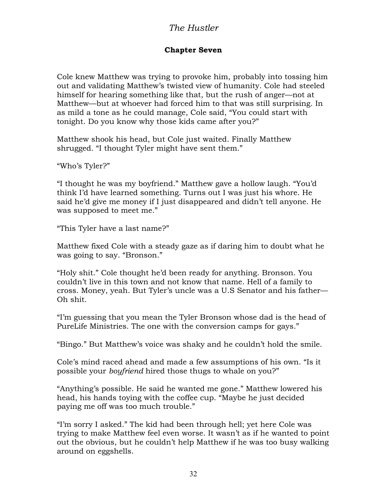### **Chapter Seven**

Cole knew Matthew was trying to provoke him, probably into tossing him out and validating Matthew's twisted view of humanity. Cole had steeled himself for hearing something like that, but the rush of anger—not at Matthew—but at whoever had forced him to that was still surprising. In as mild a tone as he could manage, Cole said, "You could start with tonight. Do you know why those kids came after you?"

Matthew shook his head, but Cole just waited. Finally Matthew shrugged. "I thought Tyler might have sent them."

"Who's Tyler?"

"I thought he was my boyfriend." Matthew gave a hollow laugh. "You'd think I'd have learned something. Turns out I was just his whore. He said he'd give me money if I just disappeared and didn't tell anyone. He was supposed to meet me."

"This Tyler have a last name?"

Matthew fixed Cole with a steady gaze as if daring him to doubt what he was going to say. "Bronson."

"Holy shit." Cole thought he'd been ready for anything. Bronson. You couldn't live in this town and not know that name. Hell of a family to cross. Money, yeah. But Tyler's uncle was a U.S Senator and his father— Oh shit.

"I'm guessing that you mean the Tyler Bronson whose dad is the head of PureLife Ministries. The one with the conversion camps for gays."

"Bingo." But Matthew's voice was shaky and he couldn't hold the smile.

Cole's mind raced ahead and made a few assumptions of his own. "Is it possible your *boyfriend* hired those thugs to whale on you?"

"Anything's possible. He said he wanted me gone." Matthew lowered his head, his hands toying with the coffee cup. "Maybe he just decided paying me off was too much trouble."

"I'm sorry I asked." The kid had been through hell; yet here Cole was trying to make Matthew feel even worse. It wasn't as if he wanted to point out the obvious, but he couldn't help Matthew if he was too busy walking around on eggshells.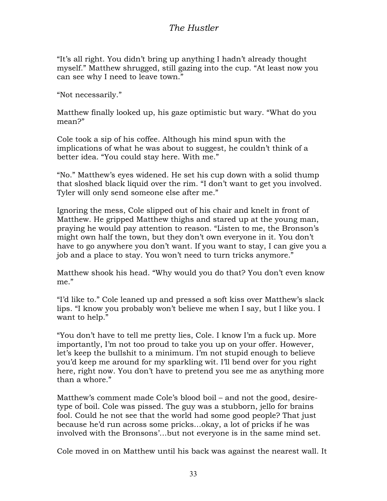"It's all right. You didn't bring up anything I hadn't already thought myself." Matthew shrugged, still gazing into the cup. "At least now you can see why I need to leave town."

"Not necessarily."

Matthew finally looked up, his gaze optimistic but wary. "What do you mean?"

Cole took a sip of his coffee. Although his mind spun with the implications of what he was about to suggest, he couldn't think of a better idea. "You could stay here. With me."

"No." Matthew's eyes widened. He set his cup down with a solid thump that sloshed black liquid over the rim. "I don't want to get you involved. Tyler will only send someone else after me."

Ignoring the mess, Cole slipped out of his chair and knelt in front of Matthew. He gripped Matthew thighs and stared up at the young man, praying he would pay attention to reason. "Listen to me, the Bronson's might own half the town, but they don't own everyone in it. You don't have to go anywhere you don't want. If you want to stay, I can give you a job and a place to stay. You won't need to turn tricks anymore."

Matthew shook his head. "Why would you do that? You don't even know me."

"I'd like to." Cole leaned up and pressed a soft kiss over Matthew's slack lips. "I know you probably won't believe me when I say, but I like you. I want to help."

"You don't have to tell me pretty lies, Cole. I know I'm a fuck up. More importantly, I'm not too proud to take you up on your offer. However, let's keep the bullshit to a minimum. I'm not stupid enough to believe you'd keep me around for my sparkling wit. I'll bend over for you right here, right now. You don't have to pretend you see me as anything more than a whore."

Matthew's comment made Cole's blood boil – and not the good, desiretype of boil. Cole was pissed. The guy was a stubborn, jello for brains fool. Could he not see that the world had some good people? That just because he'd run across some pricks…okay, a lot of pricks if he was involved with the Bronsons'…but not everyone is in the same mind set.

Cole moved in on Matthew until his back was against the nearest wall. It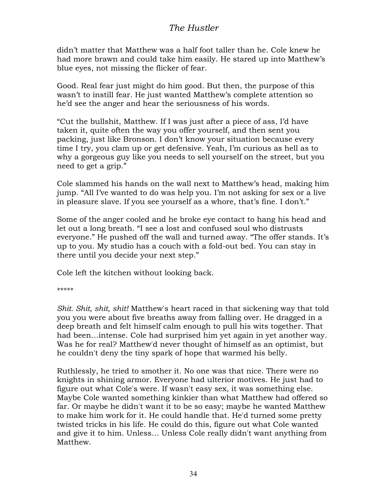didn't matter that Matthew was a half foot taller than he. Cole knew he had more brawn and could take him easily. He stared up into Matthew's blue eyes, not missing the flicker of fear.

Good. Real fear just might do him good. But then, the purpose of this wasn't to instill fear. He just wanted Matthew's complete attention so he'd see the anger and hear the seriousness of his words.

"Cut the bullshit, Matthew. If I was just after a piece of ass, I'd have taken it, quite often the way you offer yourself, and then sent you packing, just like Bronson. I don't know your situation because every time I try, you clam up or get defensive. Yeah, I'm curious as hell as to why a gorgeous guy like you needs to sell yourself on the street, but you need to get a grip."

Cole slammed his hands on the wall next to Matthew's head, making him jump. "All I've wanted to do was help you. I'm not asking for sex or a live in pleasure slave. If you see yourself as a whore, that's fine. I don't."

Some of the anger cooled and he broke eye contact to hang his head and let out a long breath. "I see a lost and confused soul who distrusts everyone." He pushed off the wall and turned away. "The offer stands. It's up to you. My studio has a couch with a fold-out bed. You can stay in there until you decide your next step."

Cole left the kitchen without looking back.

\*\*\*\*\*

*Shit. Shit, shit, shit!* Matthew's heart raced in that sickening way that told you you were about five breaths away from falling over. He dragged in a deep breath and felt himself calm enough to pull his wits together. That had been…intense. Cole had surprised him yet again in yet another way. Was he for real? Matthew'd never thought of himself as an optimist, but he couldn't deny the tiny spark of hope that warmed his belly.

Ruthlessly, he tried to smother it. No one was that nice. There were no knights in shining armor. Everyone had ulterior motives. He just had to figure out what Cole's were. If wasn't easy sex, it was something else. Maybe Cole wanted something kinkier than what Matthew had offered so far. Or maybe he didn't want it to be so easy; maybe he wanted Matthew to make him work for it. He could handle that. He'd turned some pretty twisted tricks in his life. He could do this, figure out what Cole wanted and give it to him. Unless… Unless Cole really didn't want anything from Matthew.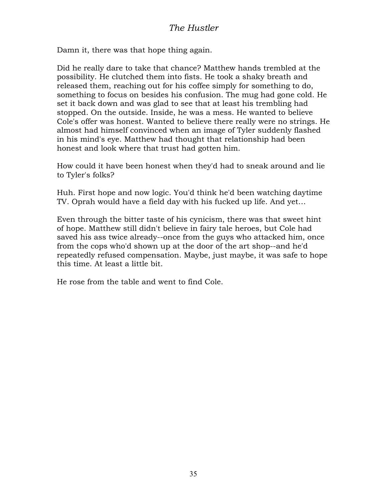Damn it, there was that hope thing again.

Did he really dare to take that chance? Matthew hands trembled at the possibility. He clutched them into fists. He took a shaky breath and released them, reaching out for his coffee simply for something to do, something to focus on besides his confusion. The mug had gone cold. He set it back down and was glad to see that at least his trembling had stopped. On the outside. Inside, he was a mess. He wanted to believe Cole's offer was honest. Wanted to believe there really were no strings. He almost had himself convinced when an image of Tyler suddenly flashed in his mind's eye. Matthew had thought that relationship had been honest and look where that trust had gotten him.

How could it have been honest when they'd had to sneak around and lie to Tyler's folks?

Huh. First hope and now logic. You'd think he'd been watching daytime TV. Oprah would have a field day with his fucked up life. And yet…

Even through the bitter taste of his cynicism, there was that sweet hint of hope. Matthew still didn't believe in fairy tale heroes, but Cole had saved his ass twice already--once from the guys who attacked him, once from the cops who'd shown up at the door of the art shop--and he'd repeatedly refused compensation. Maybe, just maybe, it was safe to hope this time. At least a little bit.

He rose from the table and went to find Cole.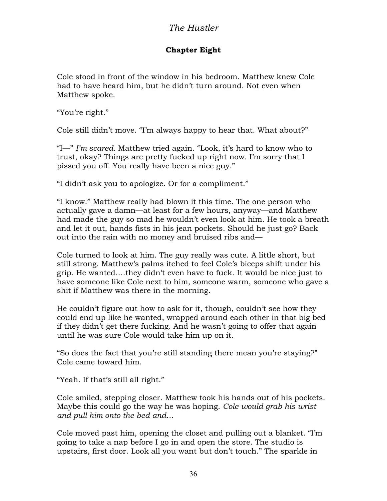## **Chapter Eight**

Cole stood in front of the window in his bedroom. Matthew knew Cole had to have heard him, but he didn't turn around. Not even when Matthew spoke.

"You're right."

Cole still didn't move. "I'm always happy to hear that. What about?"

"I—" *I'm scared.* Matthew tried again. "Look, it's hard to know who to trust, okay? Things are pretty fucked up right now. I'm sorry that I pissed you off. You really have been a nice guy."

"I didn't ask you to apologize. Or for a compliment."

"I know." Matthew really had blown it this time. The one person who actually gave a damn—at least for a few hours, anyway—and Matthew had made the guy so mad he wouldn't even look at him. He took a breath and let it out, hands fists in his jean pockets. Should he just go? Back out into the rain with no money and bruised ribs and—

Cole turned to look at him. The guy really was cute. A little short, but still strong. Matthew's palms itched to feel Cole's biceps shift under his grip. He wanted….they didn't even have to fuck. It would be nice just to have someone like Cole next to him, someone warm, someone who gave a shit if Matthew was there in the morning.

He couldn't figure out how to ask for it, though, couldn't see how they could end up like he wanted, wrapped around each other in that big bed if they didn't get there fucking. And he wasn't going to offer that again until he was sure Cole would take him up on it.

"So does the fact that you're still standing there mean you're staying?" Cole came toward him.

"Yeah. If that's still all right."

Cole smiled, stepping closer. Matthew took his hands out of his pockets. Maybe this could go the way he was hoping. *Cole would grab his wrist and pull him onto the bed and…*

Cole moved past him, opening the closet and pulling out a blanket. "I'm going to take a nap before I go in and open the store. The studio is upstairs, first door. Look all you want but don't touch." The sparkle in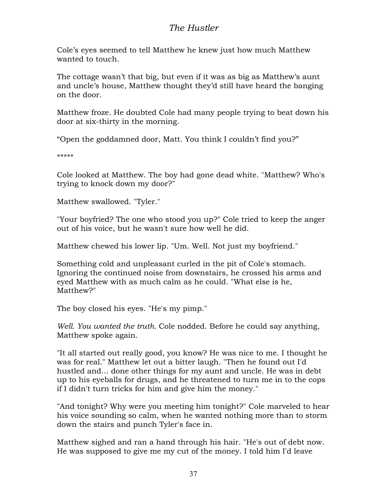Cole's eyes seemed to tell Matthew he knew just how much Matthew wanted to touch.

The cottage wasn't that big, but even if it was as big as Matthew's aunt and uncle's house, Matthew thought they'd still have heard the banging on the door.

Matthew froze. He doubted Cole had many people trying to beat down his door at six-thirty in the morning.

"Open the goddamned door, Matt. You think I couldn't find you?"

\*\*\*\*\*

Cole looked at Matthew. The boy had gone dead white. "Matthew? Who's trying to knock down my door?"

Matthew swallowed. "Tyler."

"Your boyfried? The one who stood you up?" Cole tried to keep the anger out of his voice, but he wasn't sure how well he did.

Matthew chewed his lower lip. "Um. Well. Not just my boyfriend."

Something cold and unpleasant curled in the pit of Cole's stomach. Ignoring the continued noise from downstairs, he crossed his arms and eyed Matthew with as much calm as he could. "What else is he, Matthew?"

The boy closed his eyes. "He's my pimp."

*Well. You wanted the truth.* Cole nodded. Before he could say anything, Matthew spoke again.

"It all started out really good, you know? He was nice to me. I thought he was for real." Matthew let out a bitter laugh. "Then he found out I'd hustled and... done other things for my aunt and uncle. He was in debt up to his eyeballs for drugs, and he threatened to turn me in to the cops if I didn't turn tricks for him and give him the money."

"And tonight? Why were you meeting him tonight?" Cole marveled to hear his voice sounding so calm, when he wanted nothing more than to storm down the stairs and punch Tyler's face in.

Matthew sighed and ran a hand through his hair. "He's out of debt now. He was supposed to give me my cut of the money. I told him I'd leave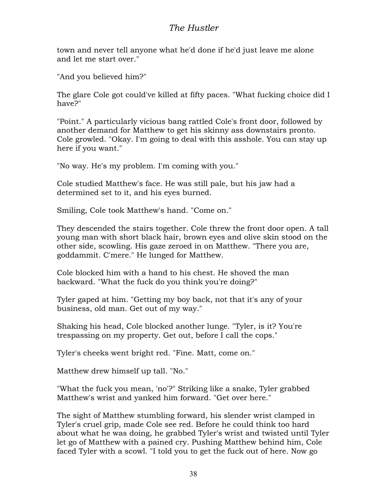town and never tell anyone what he'd done if he'd just leave me alone and let me start over."

"And you believed him?"

The glare Cole got could've killed at fifty paces. "What fucking choice did I have?"

"Point." A particularly vicious bang rattled Cole's front door, followed by another demand for Matthew to get his skinny ass downstairs pronto. Cole growled. "Okay. I'm going to deal with this asshole. You can stay up here if you want."

"No way. He's my problem. I'm coming with you."

Cole studied Matthew's face. He was still pale, but his jaw had a determined set to it, and his eyes burned.

Smiling, Cole took Matthew's hand. "Come on."

They descended the stairs together. Cole threw the front door open. A tall young man with short black hair, brown eyes and olive skin stood on the other side, scowling. His gaze zeroed in on Matthew. "There you are, goddammit. C'mere." He lunged for Matthew.

Cole blocked him with a hand to his chest. He shoved the man backward. "What the fuck do you think you're doing?"

Tyler gaped at him. "Getting my boy back, not that it's any of your business, old man. Get out of my way."

Shaking his head, Cole blocked another lunge. "Tyler, is it? You're trespassing on my property. Get out, before I call the cops."

Tyler's cheeks went bright red. "Fine. Matt, come on."

Matthew drew himself up tall. "No."

"What the fuck you mean, 'no'?" Striking like a snake, Tyler grabbed Matthew's wrist and yanked him forward. "Get over here."

The sight of Matthew stumbling forward, his slender wrist clamped in Tyler's cruel grip, made Cole see red. Before he could think too hard about what he was doing, he grabbed Tyler's wrist and twisted until Tyler let go of Matthew with a pained cry. Pushing Matthew behind him, Cole faced Tyler with a scowl. "I told you to get the fuck out of here. Now go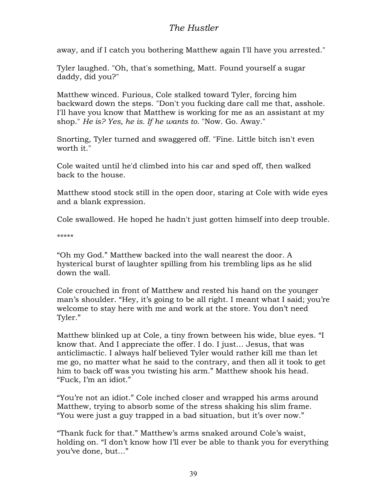away, and if I catch you bothering Matthew again I'll have you arrested."

Tyler laughed. "Oh, that's something, Matt. Found yourself a sugar daddy, did you?"

Matthew winced. Furious, Cole stalked toward Tyler, forcing him backward down the steps. "Don't you fucking dare call me that, asshole. I'll have you know that Matthew is working for me as an assistant at my shop." *He is? Yes, he is. If he wants to.* "Now. Go. Away."

Snorting, Tyler turned and swaggered off. "Fine. Little bitch isn't even worth it."

Cole waited until he'd climbed into his car and sped off, then walked back to the house.

Matthew stood stock still in the open door, staring at Cole with wide eyes and a blank expression.

Cole swallowed. He hoped he hadn't just gotten himself into deep trouble.

\*\*\*\*\*

"Oh my God." Matthew backed into the wall nearest the door. A hysterical burst of laughter spilling from his trembling lips as he slid down the wall.

Cole crouched in front of Matthew and rested his hand on the younger man's shoulder. "Hey, it's going to be all right. I meant what I said; you're welcome to stay here with me and work at the store. You don't need Tyler."

Matthew blinked up at Cole, a tiny frown between his wide, blue eyes. "I know that. And I appreciate the offer. I do. I just… Jesus, that was anticlimactic. I always half believed Tyler would rather kill me than let me go, no matter what he said to the contrary, and then all it took to get him to back off was you twisting his arm." Matthew shook his head. "Fuck, I'm an idiot."

"You're not an idiot." Cole inched closer and wrapped his arms around Matthew, trying to absorb some of the stress shaking his slim frame. "You were just a guy trapped in a bad situation, but it's over now."

"Thank fuck for that." Matthew's arms snaked around Cole's waist, holding on. "I don't know how I'll ever be able to thank you for everything you've done, but…"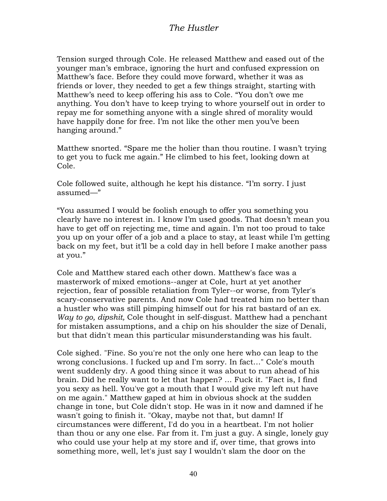Tension surged through Cole. He released Matthew and eased out of the younger man's embrace, ignoring the hurt and confused expression on Matthew's face. Before they could move forward, whether it was as friends or lover, they needed to get a few things straight, starting with Matthew's need to keep offering his ass to Cole. "You don't owe me anything. You don't have to keep trying to whore yourself out in order to repay me for something anyone with a single shred of morality would have happily done for free. I'm not like the other men you've been hanging around."

Matthew snorted. "Spare me the holier than thou routine. I wasn't trying to get you to fuck me again." He climbed to his feet, looking down at Cole.

Cole followed suite, although he kept his distance. "I'm sorry. I just assumed—"

"You assumed I would be foolish enough to offer you something you clearly have no interest in. I know I'm used goods. That doesn't mean you have to get off on rejecting me, time and again. I'm not too proud to take you up on your offer of a job and a place to stay, at least while I'm getting back on my feet, but it'll be a cold day in hell before I make another pass at you."

Cole and Matthew stared each other down. Matthew's face was a masterwork of mixed emotions--anger at Cole, hurt at yet another rejection, fear of possible retaliation from Tyler--or worse, from Tyler's scary-conservative parents. And now Cole had treated him no better than a hustler who was still pimping himself out for his rat bastard of an ex. *Way to go, dipshit,* Cole thought in self-disgust. Matthew had a penchant for mistaken assumptions, and a chip on his shoulder the size of Denali, but that didn't mean this particular misunderstanding was his fault.

Cole sighed. "Fine. So you're not the only one here who can leap to the wrong conclusions. I fucked up and I'm sorry. In fact…" Cole's mouth went suddenly dry. A good thing since it was about to run ahead of his brain. Did he really want to let that happen? ... Fuck it. "Fact is, I find you sexy as hell. You've got a mouth that I would give my left nut have on me again." Matthew gaped at him in obvious shock at the sudden change in tone, but Cole didn't stop. He was in it now and damned if he wasn't going to finish it. "Okay, maybe not that, but damn! If circumstances were different, I'd do you in a heartbeat. I'm not holier than thou or any one else. Far from it. I'm just a guy. A single, lonely guy who could use your help at my store and if, over time, that grows into something more, well, let's just say I wouldn't slam the door on the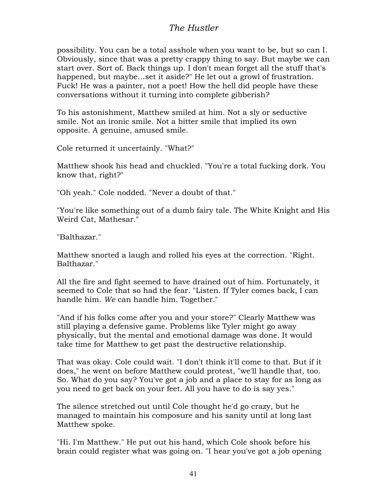possibility. You can be a total asshole when you want to be, but so can I. Obviously, since that was a pretty crappy thing to say. But maybe we can start over. Sort of. Back things up. I don't mean forget all the stuff that's happened, but maybe…set it aside?" He let out a growl of frustration. Fuck! He was a painter, not a poet! How the hell did people have these conversations without it turning into complete gibberish?

To his astonishment, Matthew smiled at him. Not a sly or seductive smile. Not an ironic smile. Not a bitter smile that implied its own opposite. A genuine, amused smile.

Cole returned it uncertainly. "What?"

Matthew shook his head and chuckled. "You're a total fucking dork. You know that, right?"

"Oh yeah." Cole nodded. "Never a doubt of that."

"You're like something out of a dumb fairy tale. The White Knight and His Weird Cat, Mathesar."

"Balthazar."

Matthew snorted a laugh and rolled his eyes at the correction. "Right. Balthazar."

All the fire and fight seemed to have drained out of him. Fortunately, it seemed to Cole that so had the fear. "Listen. If Tyler comes back, I can handle him. *We* can handle him. Together."

"And if his folks come after you and your store?" Clearly Matthew was still playing a defensive game. Problems like Tyler might go away physically, but the mental and emotional damage was done. It would take time for Matthew to get past the destructive relationship.

That was okay. Cole could wait. "I don't think it'll come to that. But if it does," he went on before Matthew could protest, "we'll handle that, too. So. What do you say? You've got a job and a place to stay for as long as you need to get back on your feet. All you have to do is say yes."

The silence stretched out until Cole thought he'd go crazy, but he managed to maintain his composure and his sanity until at long last Matthew spoke.

"Hi. I'm Matthew." He put out his hand, which Cole shook before his brain could register what was going on. "I hear you've got a job opening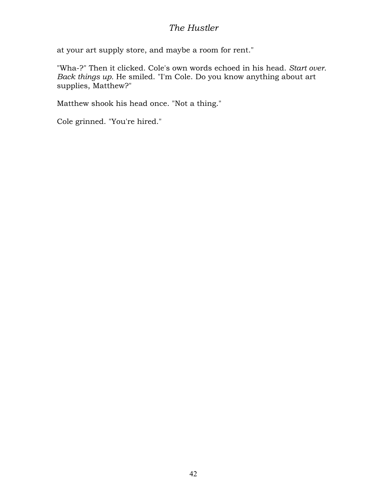at your art supply store, and maybe a room for rent."

"Wha-?" Then it clicked. Cole's own words echoed in his head. *Start over. Back things up.* He smiled. "I'm Cole. Do you know anything about art supplies, Matthew?"

Matthew shook his head once. "Not a thing."

Cole grinned. "You're hired."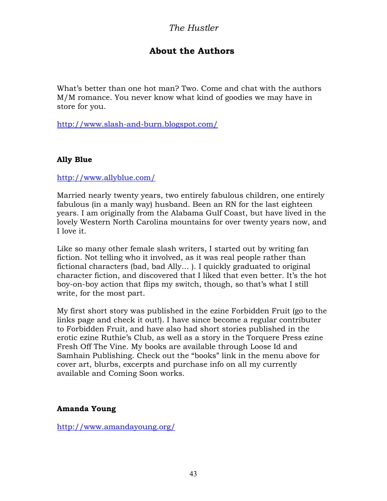# **About the Authors**

What's better than one hot man? Two. Come and chat with the authors M/M romance. You never know what kind of goodies we may have in store for you.

<http://www.slash-and-burn.blogspot.com/>

#### **Ally Blue**

#### <http://www.allyblue.com/>

Married nearly twenty years, two entirely fabulous children, one entirely fabulous (in a manly way) husband. Been an RN for the last eighteen years. I am originally from the Alabama Gulf Coast, but have lived in the lovely Western North Carolina mountains for over twenty years now, and I love it.

Like so many other female slash writers, I started out by writing fan fiction. Not telling who it involved, as it was real people rather than fictional characters (bad, bad Ally… ). I quickly graduated to original character fiction, and discovered that I liked that even better. It's the hot boy-on-boy action that flips my switch, though, so that's what I still write, for the most part.

My first short story was published in the ezine Forbidden Fruit (go to the links page and check it out!). I have since become a regular contributer to Forbidden Fruit, and have also had short stories published in the erotic ezine Ruthie's Club, as well as a story in the Torquere Press ezine Fresh Off The Vine. My books are available through Loose Id and Samhain Publishing. Check out the "books" link in the menu above for cover art, blurbs, excerpts and purchase info on all my currently available and Coming Soon works.

#### **Amanda Young**

<http://www.amandayoung.org/>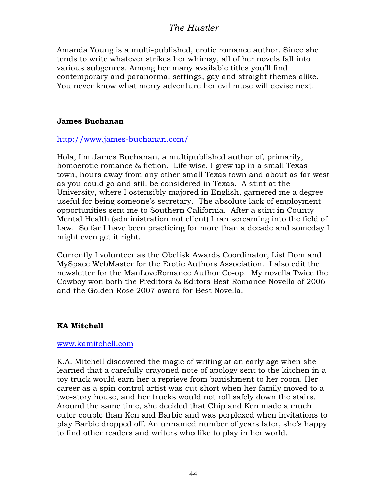Amanda Young is a multi-published, erotic romance author. Since she tends to write whatever strikes her whimsy, all of her novels fall into various subgenres. Among her many available titles you'll find contemporary and paranormal settings, gay and straight themes alike. You never know what merry adventure her evil muse will devise next.

#### **James Buchanan**

#### <http://www.james-buchanan.com/>

Hola, I'm James Buchanan, a multipublished author of, primarily, homoerotic romance & fiction. Life wise, I grew up in a small Texas town, hours away from any other small Texas town and about as far west as you could go and still be considered in Texas. A stint at the University, where I ostensibly majored in English, garnered me a degree useful for being someone's secretary. The absolute lack of employment opportunities sent me to Southern California. After a stint in County Mental Health (administration not client) I ran screaming into the field of Law. So far I have been practicing for more than a decade and someday I might even get it right.

Currently I volunteer as the Obelisk Awards Coordinator, List Dom and MySpace WebMaster for the Erotic Authors Association. I also edit the newsletter for the ManLoveRomance Author Co-op. My novella Twice the Cowboy won both the Preditors & Editors Best Romance Novella of 2006 and the Golden Rose 2007 award for Best Novella.

#### **KA Mitchell**

#### [www.kamitchell.com](http://www.kamitchell.com/)

K.A. Mitchell discovered the magic of writing at an early age when she learned that a carefully crayoned note of apology sent to the kitchen in a toy truck would earn her a reprieve from banishment to her room. Her career as a spin control artist was cut short when her family moved to a two-story house, and her trucks would not roll safely down the stairs. Around the same time, she decided that Chip and Ken made a much cuter couple than Ken and Barbie and was perplexed when invitations to play Barbie dropped off. An unnamed number of years later, she's happy to find other readers and writers who like to play in her world.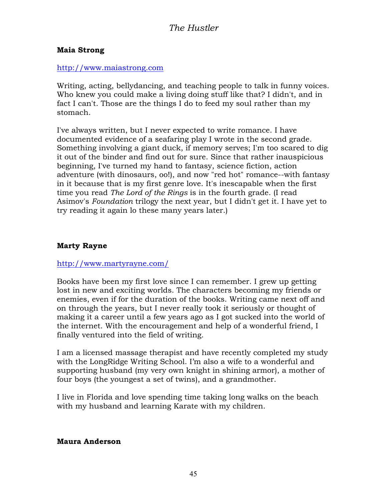#### **Maia Strong**

#### [http://www.maiastrong.com](http://www.maiastrong.com/)

Writing, acting, bellydancing, and teaching people to talk in funny voices. Who knew you could make a living doing stuff like that? I didn't, and in fact I can't. Those are the things I do to feed my soul rather than my stomach.

I've always written, but I never expected to write romance. I have documented evidence of a seafaring play I wrote in the second grade. Something involving a giant duck, if memory serves; I'm too scared to dig it out of the binder and find out for sure. Since that rather inauspicious beginning, I've turned my hand to fantasy, science fiction, action adventure (with dinosaurs, oo!), and now "red hot" romance--with fantasy in it because that is my first genre love. It's inescapable when the first time you read *The Lord of the Rings* is in the fourth grade. (I read Asimov's *Foundation* trilogy the next year, but I didn't get it. I have yet to try reading it again lo these many years later.)

#### **Marty Rayne**

#### <http://www.martyrayne.com/>

Books have been my first love since I can remember. I grew up getting lost in new and exciting worlds. The characters becoming my friends or enemies, even if for the duration of the books. Writing came next off and on through the years, but I never really took it seriously or thought of making it a career until a few years ago as I got sucked into the world of the internet. With the encouragement and help of a wonderful friend, I finally ventured into the field of writing.

I am a licensed massage therapist and have recently completed my study with the LongRidge Writing School. I'm also a wife to a wonderful and supporting husband (my very own knight in shining armor), a mother of four boys (the youngest a set of twins), and a grandmother.

I live in Florida and love spending time taking long walks on the beach with my husband and learning Karate with my children.

#### **Maura Anderson**